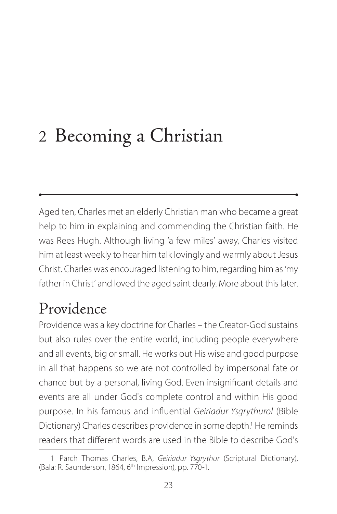# 2 Becoming a Christian

Aged ten, Charles met an elderly Christian man who became a great help to him in explaining and commending the Christian faith. He was Rees Hugh. Although living 'a few miles' away, Charles visited him at least weekly to hear him talk lovingly and warmly about Jesus Christ. Charles was encouraged listening to him, regarding him as 'my father in Christ' and loved the aged saint dearly. More about this later.

### Providence

Providence was a key doctrine for Charles – the Creator-God sustains but also rules over the entire world, including people everywhere and all events, big or small. He works out His wise and good purpose in all that happens so we are not controlled by impersonal fate or chance but by a personal, living God. Even insignificant details and events are all under God's complete control and within His good purpose. In his famous and influential *Geiriadur Ysgrythurol* (Bible Dictionary) Charles describes providence in some depth.<sup>1</sup> He reminds readers that different words are used in the Bible to describe God's

<sup>1</sup> Parch Thomas Charles, B.A, *Geiriadur Ysgrythur* (Scriptural Dictionary), (Bala: R. Saunderson, 1864, 6th Impression), pp. 770-1.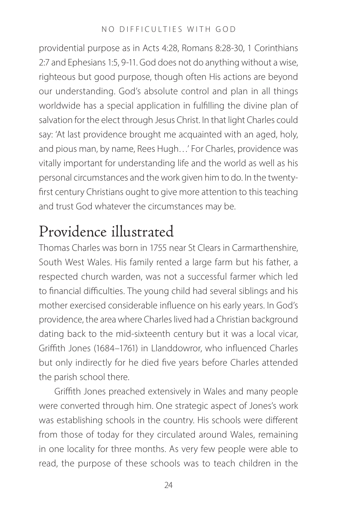#### NO DIFFICULTIES WITH GOD

providential purpose as in Acts 4:28, Romans 8:28-30, 1 Corinthians 2:7 and Ephesians 1:5, 9-11. God does not do anything without a wise, righteous but good purpose, though often His actions are beyond our understanding. God's absolute control and plan in all things worldwide has a special application in fulfilling the divine plan of salvation for the elect through Jesus Christ. In that light Charles could say: 'At last providence brought me acquainted with an aged, holy, and pious man, by name, Rees Hugh…' For Charles, providence was vitally important for understanding life and the world as well as his personal circumstances and the work given him to do. In the twentyfirst century Christians ought to give more attention to this teaching and trust God whatever the circumstances may be.

### Providence illustrated

Thomas Charles was born in 1755 near St Clears in Carmarthenshire, South West Wales. His family rented a large farm but his father, a respected church warden, was not a successful farmer which led to financial difficulties. The young child had several siblings and his mother exercised considerable influence on his early years. In God's providence, the area where Charles lived had a Christian background dating back to the mid-sixteenth century but it was a local vicar, Griffith Jones (1684–1761) in Llanddowror, who influenced Charles but only indirectly for he died five years before Charles attended the parish school there.

Griffith Jones preached extensively in Wales and many people were converted through him. One strategic aspect of Jones's work was establishing schools in the country. His schools were different from those of today for they circulated around Wales, remaining in one locality for three months. As very few people were able to read, the purpose of these schools was to teach children in the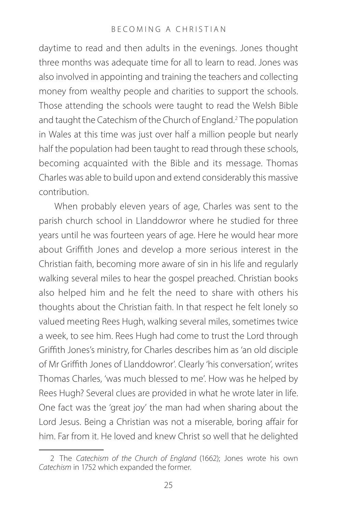#### BECOMING A CHRISTIAN

daytime to read and then adults in the evenings. Jones thought three months was adequate time for all to learn to read. Jones was also involved in appointing and training the teachers and collecting money from wealthy people and charities to support the schools. Those attending the schools were taught to read the Welsh Bible and taught the Catechism of the Church of England.2 The population in Wales at this time was just over half a million people but nearly half the population had been taught to read through these schools, becoming acquainted with the Bible and its message. Thomas Charles was able to build upon and extend considerably this massive contribution.

When probably eleven years of age, Charles was sent to the parish church school in Llanddowror where he studied for three years until he was fourteen years of age. Here he would hear more about Griffith Jones and develop a more serious interest in the Christian faith, becoming more aware of sin in his life and regularly walking several miles to hear the gospel preached. Christian books also helped him and he felt the need to share with others his thoughts about the Christian faith. In that respect he felt lonely so valued meeting Rees Hugh, walking several miles, sometimes twice a week, to see him. Rees Hugh had come to trust the Lord through Griffith Jones's ministry, for Charles describes him as 'an old disciple of Mr Griffith Jones of Llanddowror'. Clearly 'his conversation', writes Thomas Charles, 'was much blessed to me'. How was he helped by Rees Hugh? Several clues are provided in what he wrote later in life. One fact was the 'great joy' the man had when sharing about the Lord Jesus. Being a Christian was not a miserable, boring affair for him. Far from it. He loved and knew Christ so well that he delighted

<sup>2</sup> The *Catechism of the Church of England* (1662); Jones wrote his own *Catechism* in 1752 which expanded the former.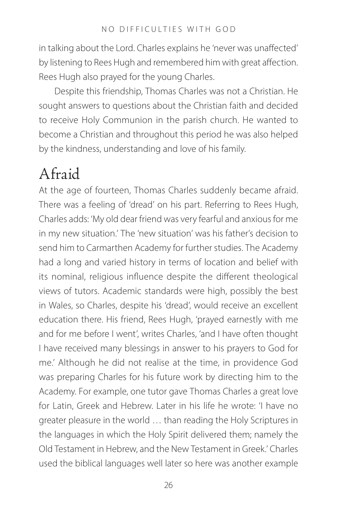in talking about the Lord. Charles explains he 'never was unaffected' by listening to Rees Hugh and remembered him with great affection. Rees Hugh also prayed for the young Charles.

Despite this friendship, Thomas Charles was not a Christian. He sought answers to questions about the Christian faith and decided to receive Holy Communion in the parish church. He wanted to become a Christian and throughout this period he was also helped by the kindness, understanding and love of his family.

## Afraid

At the age of fourteen, Thomas Charles suddenly became afraid. There was a feeling of 'dread' on his part. Referring to Rees Hugh, Charles adds: 'My old dear friend was very fearful and anxious for me in my new situation.' The 'new situation' was his father's decision to send him to Carmarthen Academy for further studies. The Academy had a long and varied history in terms of location and belief with its nominal, religious influence despite the different theological views of tutors. Academic standards were high, possibly the best in Wales, so Charles, despite his 'dread', would receive an excellent education there. His friend, Rees Hugh, 'prayed earnestly with me and for me before I went', writes Charles, 'and I have often thought I have received many blessings in answer to his prayers to God for me.' Although he did not realise at the time, in providence God was preparing Charles for his future work by directing him to the Academy. For example, one tutor gave Thomas Charles a great love for Latin, Greek and Hebrew. Later in his life he wrote: 'I have no greater pleasure in the world … than reading the Holy Scriptures in the languages in which the Holy Spirit delivered them; namely the Old Testament in Hebrew, and the New Testament in Greek.' Charles used the biblical languages well later so here was another example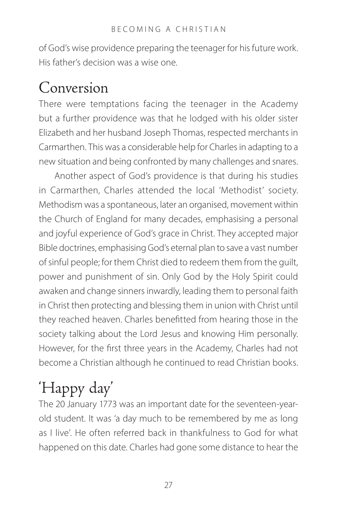of God's wise providence preparing the teenager for his future work. His father's decision was a wise one.

### Conversion

There were temptations facing the teenager in the Academy but a further providence was that he lodged with his older sister Elizabeth and her husband Joseph Thomas, respected merchants in Carmarthen. This was a considerable help for Charles in adapting to a new situation and being confronted by many challenges and snares.

Another aspect of God's providence is that during his studies in Carmarthen, Charles attended the local 'Methodist' society. Methodism was a spontaneous, later an organised, movement within the Church of England for many decades, emphasising a personal and joyful experience of God's grace in Christ. They accepted major Bible doctrines, emphasising God's eternal plan to save a vast number of sinful people; for them Christ died to redeem them from the guilt, power and punishment of sin. Only God by the Holy Spirit could awaken and change sinners inwardly, leading them to personal faith in Christ then protecting and blessing them in union with Christ until they reached heaven. Charles benefitted from hearing those in the society talking about the Lord Jesus and knowing Him personally. However, for the first three years in the Academy, Charles had not become a Christian although he continued to read Christian books.

## 'Happy day'

The 20 January 1773 was an important date for the seventeen-yearold student. It was 'a day much to be remembered by me as long as I live'. He often referred back in thankfulness to God for what happened on this date. Charles had gone some distance to hear the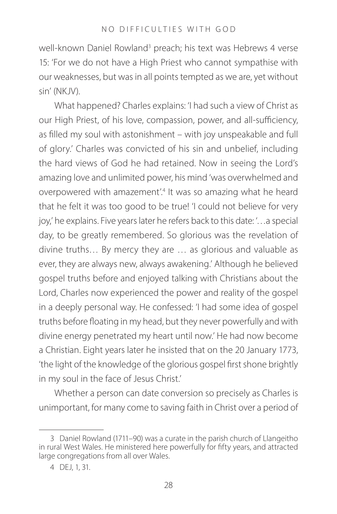well-known Daniel Rowland<sup>3</sup> preach; his text was Hebrews 4 verse 15: 'For we do not have a High Priest who cannot sympathise with our weaknesses, but was in all points tempted as we are, yet without sin' (NKJV).

What happened? Charles explains: 'I had such a view of Christ as our High Priest, of his love, compassion, power, and all-sufficiency, as filled my soul with astonishment – with joy unspeakable and full of glory.' Charles was convicted of his sin and unbelief, including the hard views of God he had retained. Now in seeing the Lord's amazing love and unlimited power, his mind 'was overwhelmed and overpowered with amazement'.<sup>4</sup> It was so amazing what he heard that he felt it was too good to be true! 'I could not believe for very joy,' he explains. Five years later he refers back to this date: '…a special day, to be greatly remembered. So glorious was the revelation of divine truths… By mercy they are … as glorious and valuable as ever, they are always new, always awakening.' Although he believed gospel truths before and enjoyed talking with Christians about the Lord, Charles now experienced the power and reality of the gospel in a deeply personal way. He confessed: 'I had some idea of gospel truths before floating in my head, but they never powerfully and with divine energy penetrated my heart until now.' He had now become a Christian. Eight years later he insisted that on the 20 January 1773, 'the light of the knowledge of the glorious gospel first shone brightly in my soul in the face of Jesus Christ.'

Whether a person can date conversion so precisely as Charles is unimportant, for many come to saving faith in Christ over a period of

<sup>3</sup> Daniel Rowland (1711–90) was a curate in the parish church of Llangeitho in rural West Wales. He ministered here powerfully for fifty years, and attracted large congregations from all over Wales.

<sup>4</sup> DEJ, 1, 31.